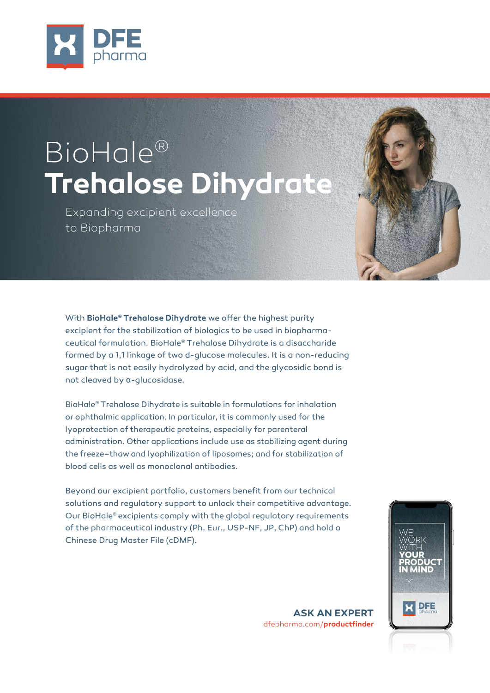

# BioHale® **Trehalose Dihydrate**

Expanding excipient excellence to Biopharma

With **BioHale® Trehalose Dihydrate** we offer the highest purity excipient for the stabilization of biologics to be used in biopharmaceutical formulation. BioHale® Trehalose Dihydrate is a disaccharide formed by a 1,1 linkage of two d-glucose molecules. It is a non-reducing sugar that is not easily hydrolyzed by acid, and the glycosidic bond is not cleaved by α-glucosidase.

BioHale® Trehalose Dihydrate is suitable in formulations for inhalation or ophthalmic application. In particular, it is commonly used for the lyoprotection of therapeutic proteins, especially for parenteral administration. Other applications include use as stabilizing agent during the freeze–thaw and lyophilization of liposomes; and for stabilization of blood cells as well as monoclonal antibodies.

Beyond our excipient portfolio, customers benefit from our technical solutions and regulatory support to unlock their competitive advantage. Our BioHale® excipients comply with the global regulatory requirements of the pharmaceutical industry (Ph. Eur., USP-NF, JP, ChP) and hold a Chinese Drug Master File (cDMF).



**ASK AN EXPERT**  dfepharma.com/**productfinder**